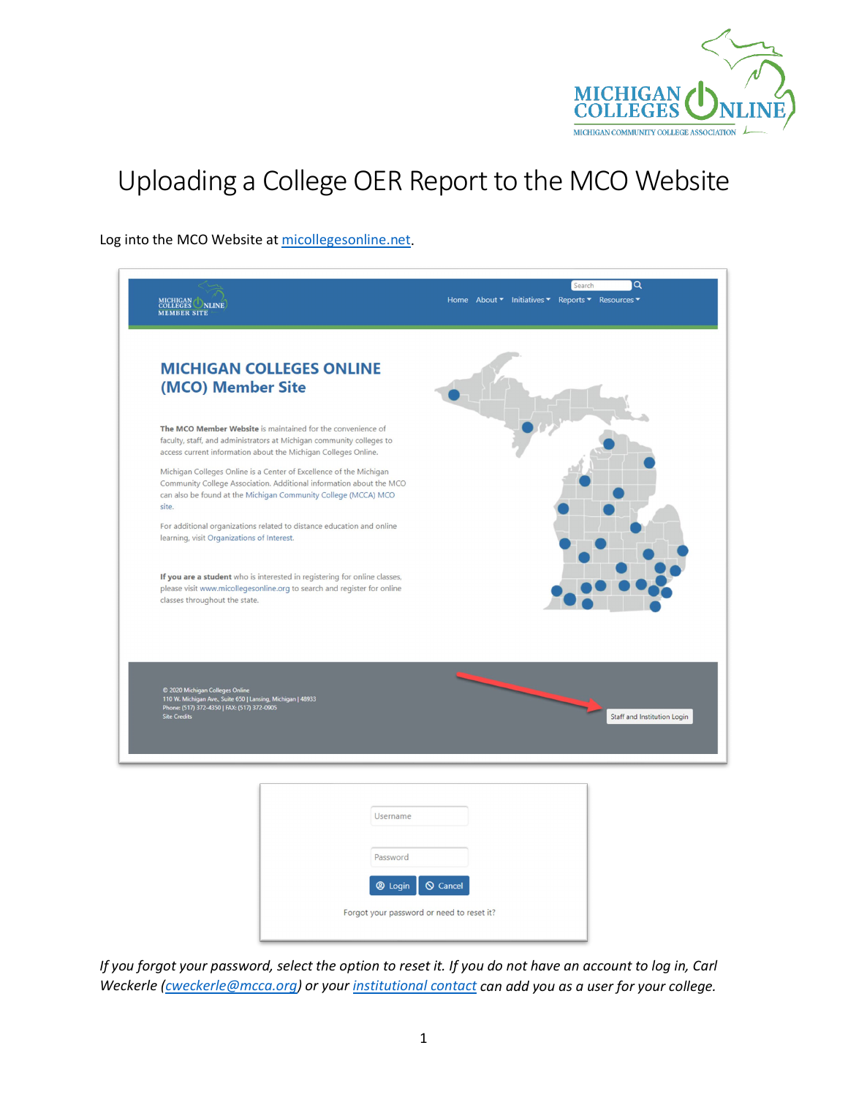

## Uploading a College OER Report to the MCO Website

Log into the MCO Website at [micollegesonline.net.](https://www.micollegesonline.net/)

| MICHIGAN NLINE<br><b>MEMBER SITE</b>                                                                                                                                                                                 | Home About ▼ Initiatives ▼ Reports ▼ Resources ▼ |
|----------------------------------------------------------------------------------------------------------------------------------------------------------------------------------------------------------------------|--------------------------------------------------|
| <b>MICHIGAN COLLEGES ONLINE</b><br>(MCO) Member Site                                                                                                                                                                 |                                                  |
| The MCO Member Website is maintained for the convenience of<br>faculty, staff, and administrators at Michigan community colleges to<br>access current information about the Michigan Colleges Online.                |                                                  |
| Michigan Colleges Online is a Center of Excellence of the Michigan<br>Community College Association. Additional information about the MCO<br>can also be found at the Michigan Community College (MCCA) MCO<br>site. |                                                  |
| For additional organizations related to distance education and online<br>learning, visit Organizations of Interest.                                                                                                  |                                                  |
| If you are a student who is interested in registering for online classes,<br>please visit www.micollegesonline.org to search and register for online<br>classes throughout the state.                                |                                                  |
| C 2020 Michigan Colleges Online<br>110 W. Michigan Ave., Suite 650   Lansing, Michigan   48933<br>Phone: (517) 372-4350   FAX: (517) 372-0905<br><b>Site Credits</b>                                                 | Staff and Institution Login                      |
|                                                                                                                                                                                                                      |                                                  |

| Username                                                                         |  |
|----------------------------------------------------------------------------------|--|
| Password                                                                         |  |
| <b>@</b> Login<br>$\bigcirc$ Cancel<br>Forgot your password or need to reset it? |  |

*If you forgot your password, select the option to reset it. If you do not have an account to log in, Carl Weckerle [\(cweckerle@mcca.org\)](mailto:cweckerle@mcca.org) or you[r institutional contact](https://www.micollegesonline.net/Advisory-Council) can add you as a user for your college.*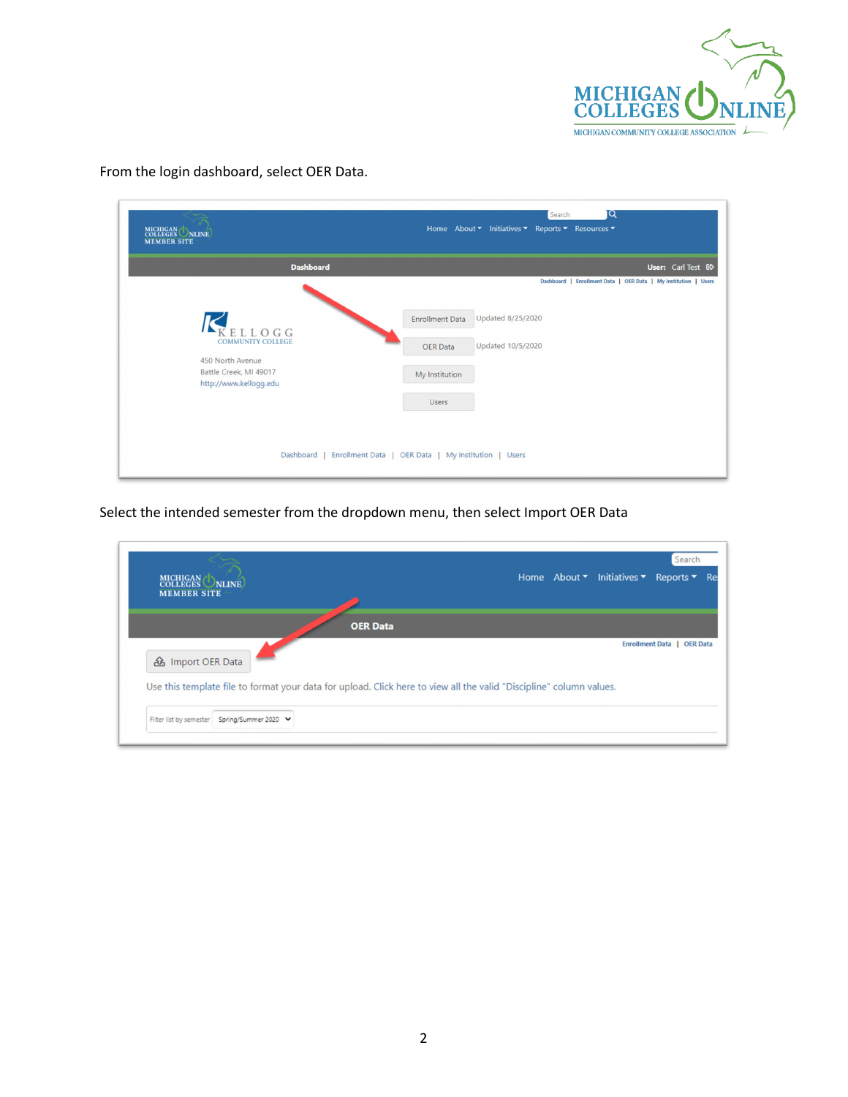

| $\epsilon$ $\sim$<br>MICHIGAN NLINE<br><b>MEMBER SITE</b>                                                  | <b>DI</b><br>Search<br>Home About ▼ Initiatives ▼ Reports ▼ Resources ▼                                                                                                                  |
|------------------------------------------------------------------------------------------------------------|------------------------------------------------------------------------------------------------------------------------------------------------------------------------------------------|
| <b>Dashboard</b>                                                                                           | User: Carl Test ED                                                                                                                                                                       |
| ELLOGG<br><b>COMMUNITY COLLEGE</b><br>450 North Avenue<br>Battle Creek, MI 49017<br>http://www.kellogg.edu | Dashboard   Enrollment Data   OER Data   My Institution   Users<br>Updated 8/25/2020<br><b>Enrollment Data</b><br>Updated 10/5/2020<br><b>OER Data</b><br>My Institution<br><b>Users</b> |
|                                                                                                            | Dashboard   Enrollment Data   OER Data   My Institution   Users                                                                                                                          |

From the login dashboard, select OER Data.

Select the intended semester from the dropdown menu, then select Import OER Data

| MICHIGAN NLINE<br><b>MEMBER SITE</b>                                                                                                                                 |                 |  | Home About $\bullet$ Initiatives $\bullet$ Reports $\bullet$ | Search                     | Re |
|----------------------------------------------------------------------------------------------------------------------------------------------------------------------|-----------------|--|--------------------------------------------------------------|----------------------------|----|
| <b><i>d</i></b> Import OER Data                                                                                                                                      | <b>OER Data</b> |  |                                                              | Enrollment Data   OER Data |    |
| Use this template file to format your data for upload. Click here to view all the valid "Discipline" column values.<br>Spring/Summer 2020<br>Filter list by semester |                 |  |                                                              |                            |    |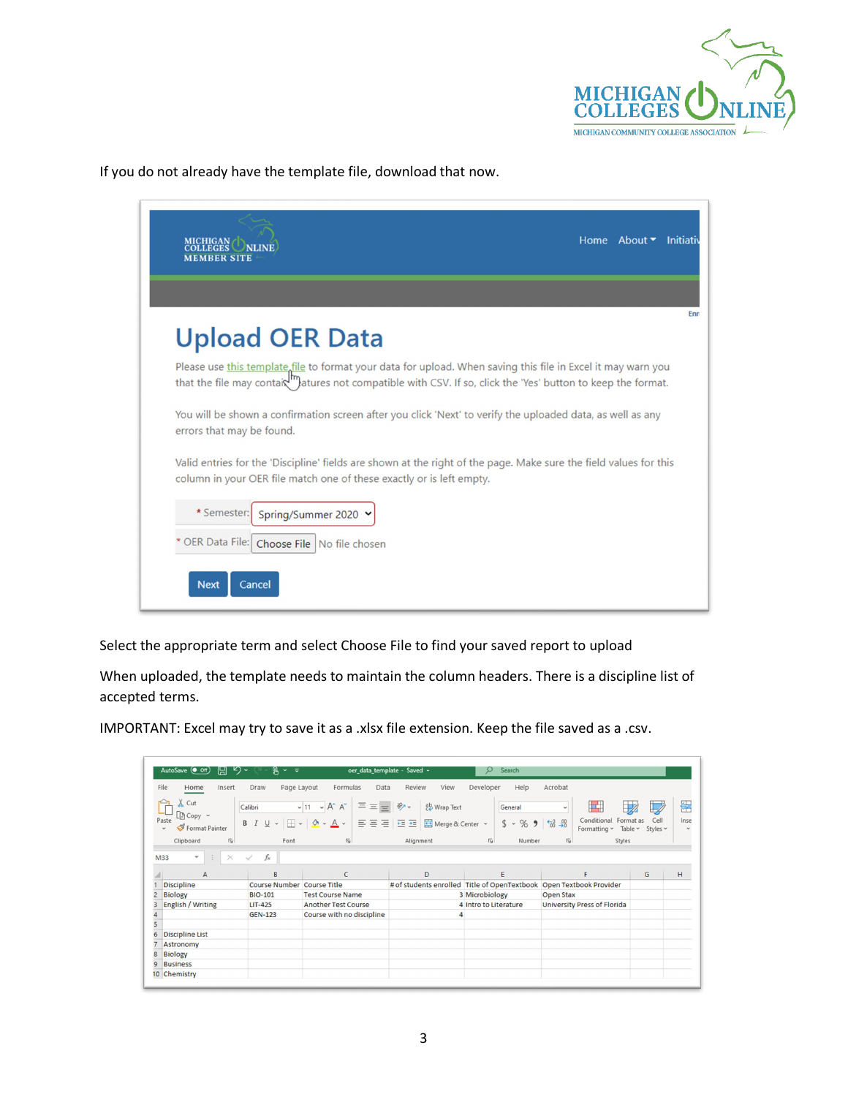

If you do not already have the template file, download that now.

| <b>Upload OER Data</b>                                                                                                                                                                                                                                  |  |
|---------------------------------------------------------------------------------------------------------------------------------------------------------------------------------------------------------------------------------------------------------|--|
| Please use this template file to format your data for upload. When saving this file in Excel it may warn you<br>that the file may contaix <sup>111</sup> ) <sub>atures</sub> not compatible with CSV. If so, click the 'Yes' button to keep the format. |  |
| You will be shown a confirmation screen after you click 'Next' to verify the uploaded data, as well as any<br>errors that may be found.                                                                                                                 |  |
| Valid entries for the 'Discipline' fields are shown at the right of the page. Make sure the field values for this<br>column in your OER file match one of these exactly or is left empty.                                                               |  |
| * Semester:<br>Spring/Summer 2020 Y                                                                                                                                                                                                                     |  |
|                                                                                                                                                                                                                                                         |  |

Select the appropriate term and select Choose File to find your saved report to upload

When uploaded, the template needs to maintain the column headers. There is a discipline list of accepted terms.

IMPORTANT: Excel may try to save it as a .xlsx file extension. Keep the file saved as a .csv.

| AutoSave (OOff)<br>旧                            | り・<br>ዔ<br>$\sim$ $\approx$           | oer_data_template - Saved +                                    |                               | Search<br>O               |                                                                     |                                       |      |
|-------------------------------------------------|---------------------------------------|----------------------------------------------------------------|-------------------------------|---------------------------|---------------------------------------------------------------------|---------------------------------------|------|
| File<br>Insert<br>Home                          | Page Layout<br>Draw                   | Formulas<br>Data                                               | Review<br>View                | Developer<br>Help         | Acrobat                                                             |                                       |      |
| Cut                                             | Calibri                               | $\Xi \equiv \equiv$<br>$A^* A^*$<br>$~\vee$ 11<br>$\checkmark$ | $\frac{1}{2}$<br>ab Wrap Text | General                   | H.<br>$\check{~}$                                                   |                                       | 军    |
| $\Box$ Copy $\sim$                              |                                       |                                                                |                               |                           |                                                                     | Cell                                  |      |
| Paste<br>Format Painter<br>$\checkmark$         | B<br>U<br>$\check{~}$<br>$\checkmark$ | 百百百 西莊<br>$\mathcal{C}_{1}$                                    | Merge & Center v              | $s$ .<br>%9               | Conditional<br>$\frac{60}{60}$ - $\frac{00}{20}$<br>Formatting ~    | Format as<br>Table $\sim$<br>Styles ~ | Inse |
| $\sqrt{2}$                                      | Font                                  | $\overline{u}$                                                 | Alignment                     | $\overline{12}$<br>Number | $\sqrt{2}$                                                          |                                       |      |
| Clipboard                                       |                                       |                                                                |                               |                           | Styles                                                              |                                       |      |
| M33<br>÷<br>$\times$<br>$\overline{\mathbf{v}}$ | $f_x$<br>$\checkmark$                 |                                                                |                               |                           |                                                                     |                                       |      |
|                                                 |                                       |                                                                |                               |                           |                                                                     |                                       |      |
| A                                               | B                                     | C                                                              | D                             | E                         | F                                                                   | G                                     | н    |
|                                                 |                                       |                                                                |                               |                           |                                                                     |                                       |      |
| <b>Discipline</b>                               | <b>Course Number</b>                  | <b>Course Title</b>                                            |                               |                           | # of students enrolled Title of OpenTextbook Open Textbook Provider |                                       |      |
| <b>Biology</b>                                  | <b>BIO-101</b>                        | <b>Test Course Name</b>                                        |                               | 3 Microbiology            | <b>Open Stax</b>                                                    |                                       |      |
| English / Writing                               | <b>LIT-425</b>                        | <b>Another Test Course</b>                                     |                               | 4 Intro to Literature     | <b>University Press of Florida</b>                                  |                                       |      |
|                                                 | <b>GEN-123</b>                        | Course with no discipline                                      |                               |                           |                                                                     |                                       |      |
|                                                 |                                       |                                                                |                               |                           |                                                                     |                                       |      |
| <b>Discipline List</b>                          |                                       |                                                                |                               |                           |                                                                     |                                       |      |
| Astronomy                                       |                                       |                                                                |                               |                           |                                                                     |                                       |      |
| <b>Biology</b>                                  |                                       |                                                                |                               |                           |                                                                     |                                       |      |
| <b>Business</b>                                 |                                       |                                                                |                               |                           |                                                                     |                                       |      |